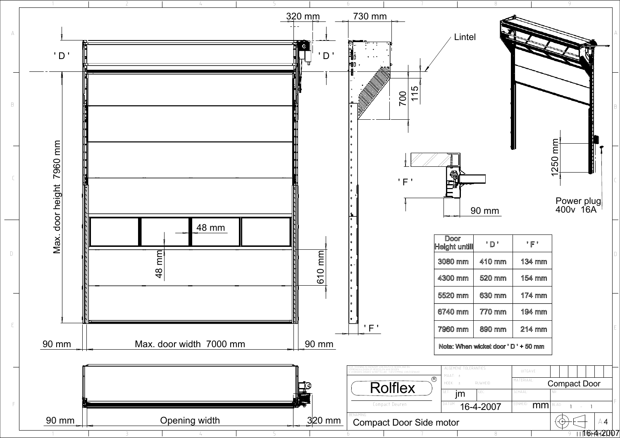